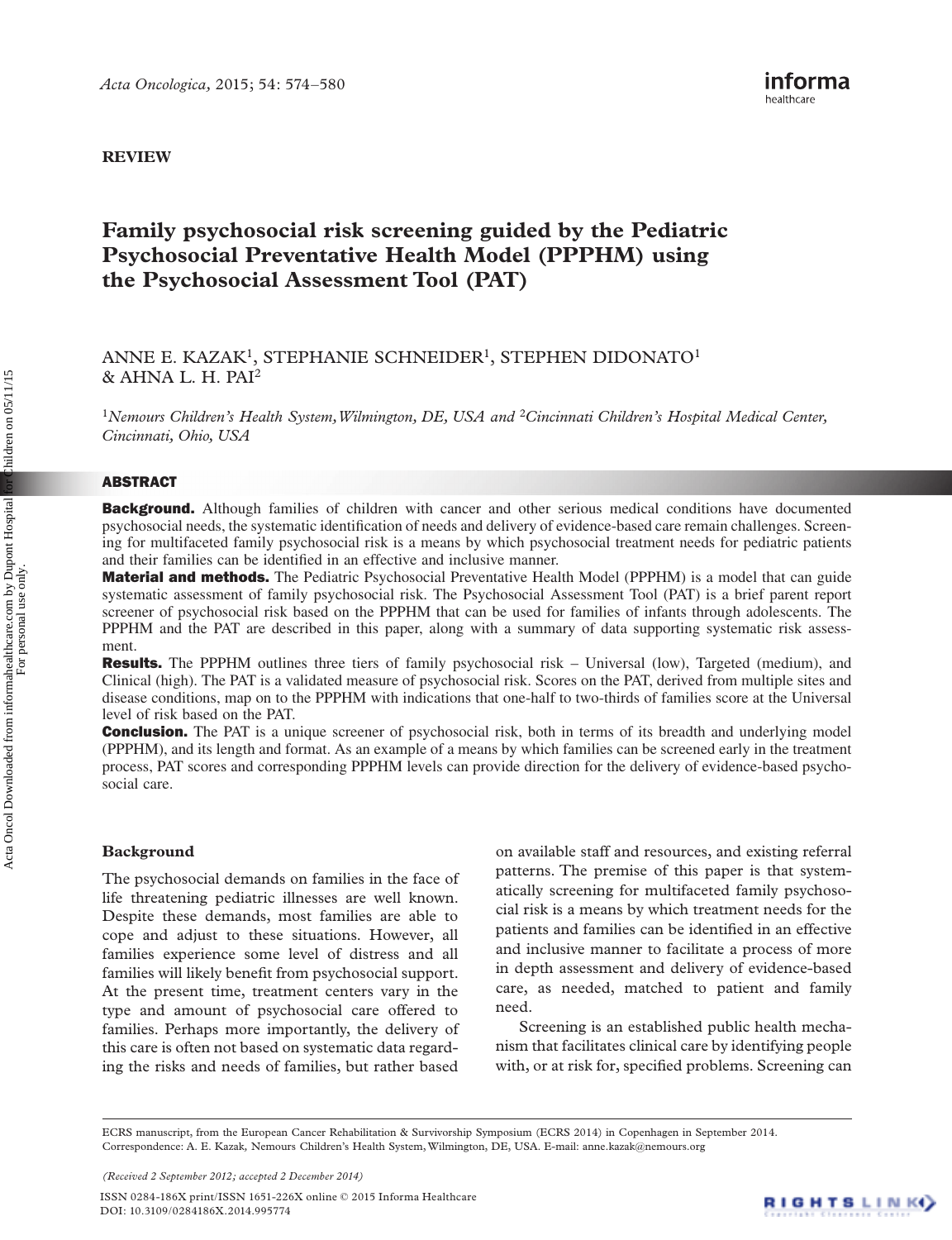# **Family psychosocial risk screening guided by the Pediatric Psychosocial Preventative Health Model (PPPHM) using the Psychosocial Assessment Tool (PAT)**

## ANNE E. KAZAK<sup>1</sup>, STEPHANIE SCHNEIDER<sup>1</sup>, STEPHEN DIDONATO<sup>1</sup>  $&$  AHNA L. H. PAI<sup>2</sup>

<sup>1</sup> Nemours Children's Health System, Wilmington, DE, USA and <sup>2</sup>Cincinnati Children's Hospital Medical Center, *Cincinnati, Ohio, USA* 

### ABSTRACT

**Background.** Although families of children with cancer and other serious medical conditions have documented psychosocial needs, the systematic identification of needs and delivery of evidence-based care remain challenges. Screening for multifaceted family psychosocial risk is a means by which psychosocial treatment needs for pediatric patients and their families can be identified in an effective and inclusive manner.

**Material and methods.** The Pediatric Psychosocial Preventative Health Model (PPPHM) is a model that can guide systematic assessment of family psychosocial risk. The Psychosocial Assessment Tool (PAT) is a brief parent report screener of psychosocial risk based on the PPPHM that can be used for families of infants through adolescents. The PPPHM and the PAT are described in this paper, along with a summary of data supporting systematic risk assessment.

Results. The PPPHM outlines three tiers of family psychosocial risk – Universal (low), Targeted (medium), and Clinical (high). The PAT is a validated measure of psychosocial risk. Scores on the PAT, derived from multiple sites and disease conditions, map on to the PPPHM with indications that one-half to two-thirds of families score at the Universal level of risk based on the PAT.

**Conclusion.** The PAT is a unique screener of psychosocial risk, both in terms of its breadth and underlying model (PPPHM), and its length and format. As an example of a means by which families can be screened early in the treatment process, PAT scores and corresponding PPPHM levels can provide direction for the delivery of evidence-based psychosocial care.

#### **Background**

The psychosocial demands on families in the face of life threatening pediatric illnesses are well known. Despite these demands, most families are able to cope and adjust to these situations. However, all families experience some level of distress and all families will likely benefit from psychosocial support. At the present time, treatment centers vary in the type and amount of psychosocial care offered to families. Perhaps more importantly, the delivery of this care is often not based on systematic data regarding the risks and needs of families, but rather based on available staff and resources, and existing referral patterns. The premise of this paper is that systematically screening for multifaceted family psychosocial risk is a means by which treatment needs for the patients and families can be identified in an effective and inclusive manner to facilitate a process of more in depth assessment and delivery of evidence-based care, as needed, matched to patient and family need.

Screening is an established public health mechanism that facilitates clinical care by identifying people with, or at risk for, specified problems. Screening can

*(Received 2 September 2012 ; accepted 2 December 2014 )*  ISSN 0284-186X print/ISSN 1651-226X online © 2015 Informa Healthcare

ECRS manuscript, from the European Cancer Rehabilitation & Survivorship Symposium (ECRS 2014) in Copenhagen in September 2014. Correspondence: A. E. Kazak *,* Nemours Children's Health System, Wilmington, DE, USA. E-mail: anne.kazak@nemours.org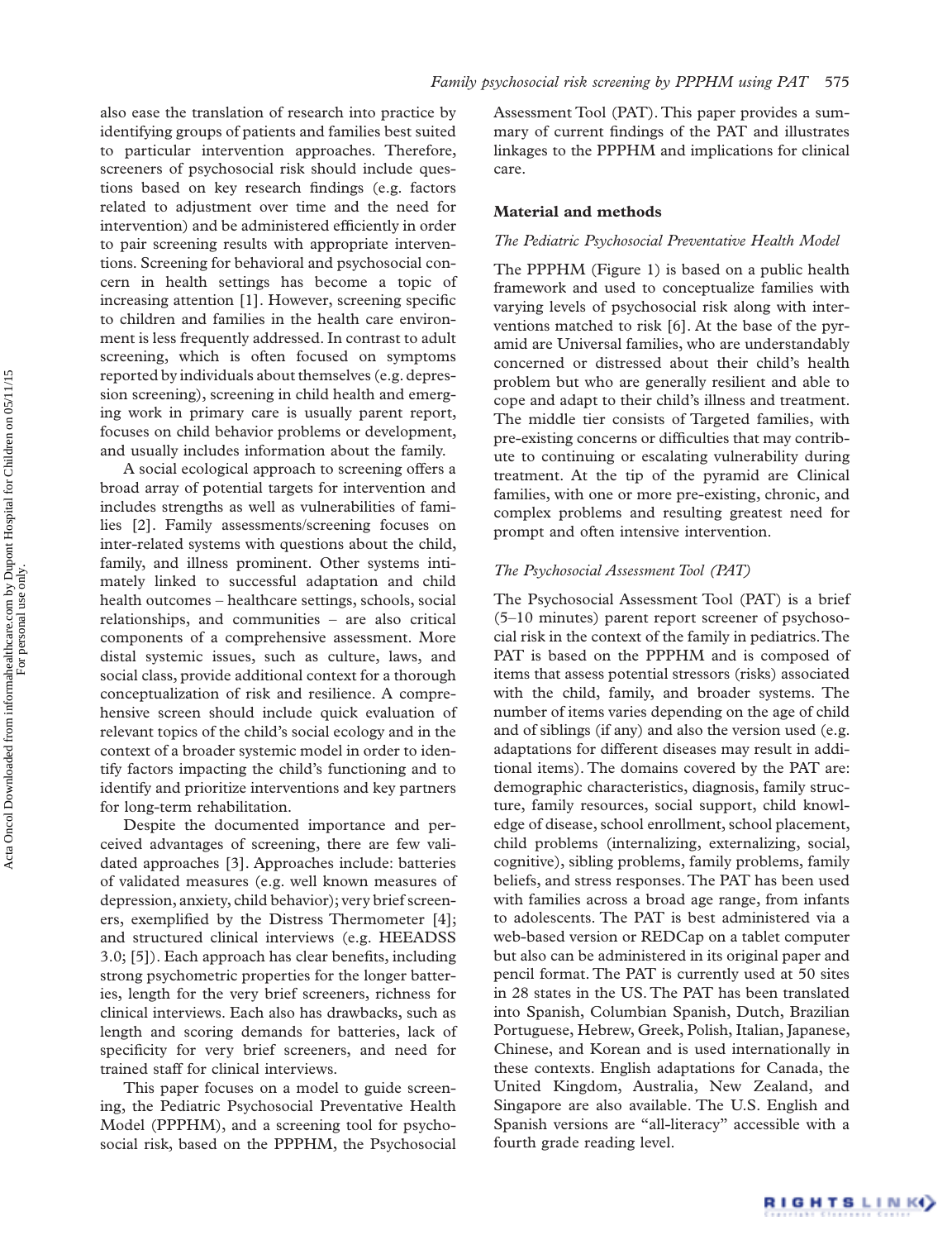also ease the translation of research into practice by identifying groups of patients and families best suited to particular intervention approaches. Therefore, screeners of psychosocial risk should include questions based on key research findings (e.g. factors related to adjustment over time and the need for intervention) and be administered efficiently in order to pair screening results with appropriate interventions. Screening for behavioral and psychosocial concern in health settings has become a topic of increasing attention [1]. However, screening specific to children and families in the health care environment is less frequently addressed. In contrast to adult screening, which is often focused on symptoms reported by individuals about themselves (e.g. depression screening), screening in child health and emerging work in primary care is usually parent report, focuses on child behavior problems or development, and usually includes information about the family.

A social ecological approach to screening offers a broad array of potential targets for intervention and includes strengths as well as vulnerabilities of families [2]. Family assessments/screening focuses on inter-related systems with questions about the child, family, and illness prominent. Other systems intimately linked to successful adaptation and child health outcomes - healthcare settings, schools, social  $relationships, and communities – are also critical$ components of a comprehensive assessment. More distal systemic issues, such as culture, laws, and social class, provide additional context for a thorough conceptualization of risk and resilience. A comprehensive screen should include quick evaluation of relevant topics of the child's social ecology and in the context of a broader systemic model in order to identify factors impacting the child's functioning and to identify and prioritize interventions and key partners for long-term rehabilitation.

Despite the documented importance and perceived advantages of screening, there are few validated approaches [3]. Approaches include: batteries of validated measures (e.g. well known measures of depression, anxiety, child behavior); very brief screeners, exemplified by the Distress Thermometer  $[4]$ ; and structured clinical interviews (e.g. HEEADSS  $3.0$ ; [5]). Each approach has clear benefits, including strong psychometric properties for the longer batteries, length for the very brief screeners, richness for clinical interviews. Each also has drawbacks, such as length and scoring demands for batteries, lack of specificity for very brief screeners, and need for trained staff for clinical interviews.

This paper focuses on a model to guide screening, the Pediatric Psychosocial Preventative Health Model (PPPHM), and a screening tool for psychosocial risk, based on the PPPHM, the Psychosocial

Assessment Tool (PAT). This paper provides a summary of current findings of the PAT and illustrates linkages to the PPPHM and implications for clinical care.

#### **Material and methods**

#### *The Pediatric Psychosocial Preventative Health Model*

The PPPHM (Figure 1) is based on a public health framework and used to conceptualize families with varying levels of psychosocial risk along with interventions matched to risk [6]. At the base of the pyramid are Universal families, who are understandably concerned or distressed about their child's health problem but who are generally resilient and able to cope and adapt to their child's illness and treatment. The middle tier consists of Targeted families, with pre-existing concerns or difficulties that may contribute to continuing or escalating vulnerability during treatment. At the tip of the pyramid are Clinical families, with one or more pre-existing, chronic, and complex problems and resulting greatest need for prompt and often intensive intervention.

#### *The Psychosocial Assessment Tool (PAT)*

The Psychosocial Assessment Tool (PAT) is a brief  $(5-10$  minutes) parent report screener of psychosocial risk in the context of the family in pediatrics. The PAT is based on the PPPHM and is composed of items that assess potential stressors (risks) associated with the child, family, and broader systems. The number of items varies depending on the age of child and of siblings (if any) and also the version used (e.g. adaptations for different diseases may result in additional items). The domains covered by the PAT are: demographic characteristics, diagnosis, family structure, family resources, social support, child knowledge of disease, school enrollment, school placement, child problems (internalizing, externalizing, social, cognitive), sibling problems, family problems, family beliefs, and stress responses. The PAT has been used with families across a broad age range, from infants to adolescents. The PAT is best administered via a web-based version or REDCap on a tablet computer but also can be administered in its original paper and pencil format. The PAT is currently used at 50 sites in 28 states in the US. The PAT has been translated into Spanish, Columbian Spanish, Dutch, Brazilian Portuguese, Hebrew, Greek, Polish, Italian, Japanese, Chinese, and Korean and is used internationally in these contexts. English adaptations for Canada, the United Kingdom, Australia, New Zealand, and Singapore are also available. The U.S. English and Spanish versions are "all-literacy" accessible with a fourth grade reading level.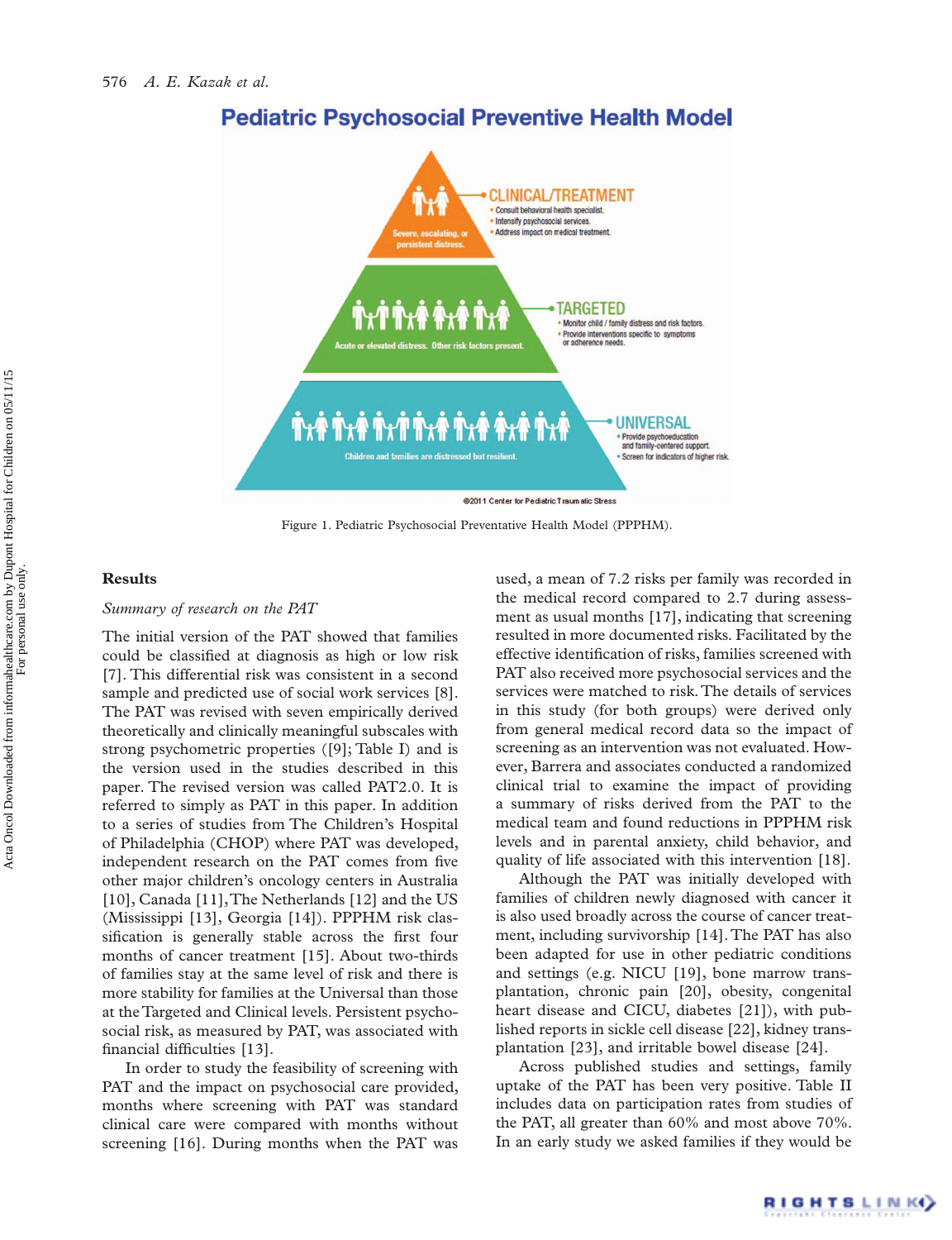

**Pediatric Psychosocial Preventive Health Model** 

Figure 1. Pediatric Psychosocial Preventative Health Model (PPPHM).

#### **Results**

#### *Summary of research on the PAT*

The initial version of the PAT showed that families could be classified at diagnosis as high or low risk [7]. This differential risk was consistent in a second sample and predicted use of social work services [8]. The PAT was revised with seven empirically derived theoretically and clinically meaningful subscales with strong psychometric properties ([9]; Table I) and is the version used in the studies described in this paper. The revised version was called PAT2.0. It is referred to simply as PAT in this paper. In addition to a series of studies from The Children's Hospital of Philadelphia (CHOP) where PAT was developed, independent research on the PAT comes from five other major children's oncology centers in Australia [10], Canada [11], The Netherlands [12] and the US (Mississippi [13], Georgia [14]). PPPHM risk classification is generally stable across the first four months of cancer treatment [15]. About two-thirds of families stay at the same level of risk and there is more stability for families at the Universal than those at the Targeted and Clinical levels. Persistent psychosocial risk, as measured by PAT, was associated with financial difficulties  $[13]$ .

In order to study the feasibility of screening with PAT and the impact on psychosocial care provided, months where screening with PAT was standard clinical care were compared with months without screening [16]. During months when the PAT was

used, a mean of 7.2 risks per family was recorded in the medical record compared to 2.7 during assessment as usual months [17], indicating that screening resulted in more documented risks. Facilitated by the effective identification of risks, families screened with PAT also received more psychosocial services and the services were matched to risk. The details of services in this study (for both groups) were derived only from general medical record data so the impact of screening as an intervention was not evaluated. However, Barrera and associates conducted a randomized clinical trial to examine the impact of providing a summary of risks derived from the PAT to the medical team and found reductions in PPPHM risk levels and in parental anxiety, child behavior, and quality of life associated with this intervention [18].

Although the PAT was initially developed with families of children newly diagnosed with cancer it is also used broadly across the course of cancer treatment, including survivorship [14]. The PAT has also been adapted for use in other pediatric conditions and settings (e.g. NICU [19], bone marrow transplantation, chronic pain [20], obesity, congenital heart disease and CICU, diabetes [21]), with published reports in sickle cell disease [22], kidney transplantation [23], and irritable bowel disease [24].

Across published studies and settings, family uptake of the PAT has been very positive. Table II includes data on participation rates from studies of the PAT, all greater than 60% and most above 70%. In an early study we asked families if they would be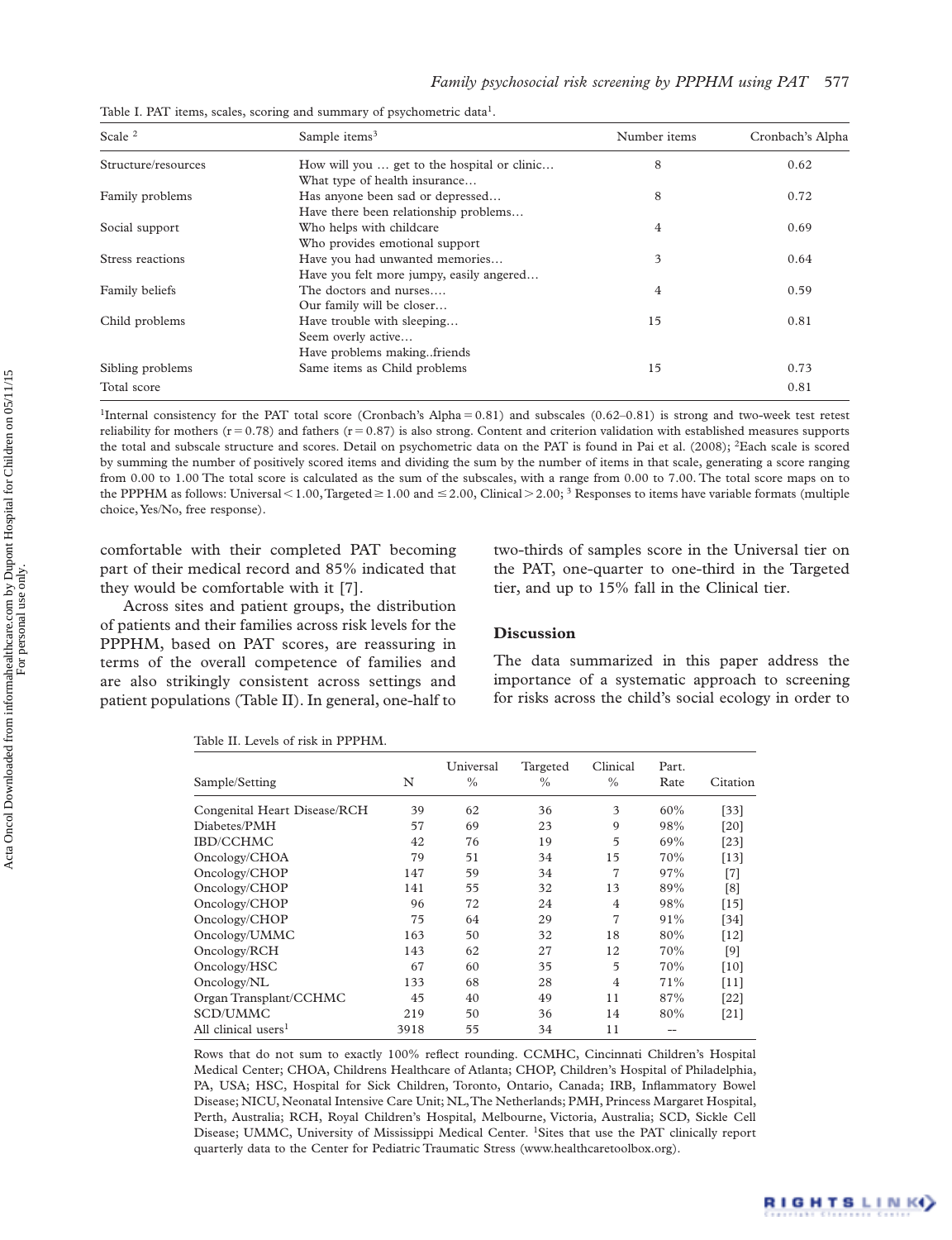| Scale $2$           | Sample items <sup>3</sup>                   | Number items   | Cronbach's Alpha |
|---------------------|---------------------------------------------|----------------|------------------|
| Structure/resources | How will you  get to the hospital or clinic | 8              | 0.62             |
|                     | What type of health insurance               |                |                  |
| Family problems     | Has anyone been sad or depressed            | 8              | 0.72             |
|                     | Have there been relationship problems       |                |                  |
| Social support      | Who helps with childcare                    | 4              | 0.69             |
|                     | Who provides emotional support              |                |                  |
| Stress reactions    | Have you had unwanted memories              | 3              | 0.64             |
|                     | Have you felt more jumpy, easily angered    |                |                  |
| Family beliefs      | The doctors and nurses                      | $\overline{4}$ | 0.59             |
|                     | Our family will be closer                   |                |                  |
| Child problems      | Have trouble with sleeping                  | 15             | 0.81             |
|                     | Seem overly active                          |                |                  |
|                     | Have problems makingfriends                 |                |                  |
| Sibling problems    | Same items as Child problems                | 15             | 0.73             |
| Total score         |                                             |                | 0.81             |

Table I. PAT items, scales, scoring and summary of psychometric data<sup>1</sup>.

<sup>1</sup>Internal consistency for the PAT total score (Cronbach's Alpha =  $0.81$ ) and subscales  $(0.62-0.81)$  is strong and two-week test retest reliability for mothers  $(r = 0.78)$  and fathers  $(r = 0.87)$  is also strong. Content and criterion validation with established measures supports the total and subscale structure and scores. Detail on psychometric data on the PAT is found in Pai et al. (2008); <sup>2</sup>Each scale is scored by summing the number of positively scored items and dividing the sum by the number of items in that scale, generating a score ranging from 0.00 to 1.00 The total score is calculated as the sum of the subscales, with a range from 0.00 to 7.00. The total score maps on to the PPPHM as follows: Universal < 1.00, Targeted  $\geq$  1.00 and  $\leq$  2.00, Clinical > 2.00; <sup>3</sup> Responses to items have variable formats (multiple choice, Yes/No, free response).

comfortable with their completed PAT becoming part of their medical record and 85% indicated that they would be comfortable with it [7].

Across sites and patient groups, the distribution of patients and their families across risk levels for the PPPHM, based on PAT scores, are reassuring in terms of the overall competence of families and are also strikingly consistent across settings and patient populations (Table II). In general, one-half to two-thirds of samples score in the Universal tier on the PAT, one-quarter to one-third in the Targeted tier, and up to 15% fall in the Clinical tier.

#### **Discussion**

The data summarized in this paper address the importance of a systematic approach to screening for risks across the child's social ecology in order to

| Sample/Setting                  | N    | Universal<br>$\frac{0}{0}$ | Targeted<br>$\%$ | Clinical<br>$\frac{0}{0}$ | Part.<br>Rate | Citation          |
|---------------------------------|------|----------------------------|------------------|---------------------------|---------------|-------------------|
|                                 |      |                            |                  |                           |               |                   |
| Congenital Heart Disease/RCH    | 39   | 62                         | 36               | 3                         | 60%           | [33]              |
| Diabetes/PMH                    | 57   | 69                         | 23               | 9                         | 98%           | [20]              |
| <b>IBD/CCHMC</b>                | 42   | 76                         | 19               | 5                         | 69%           | $[23]$            |
| Oncology/CHOA                   | 79   | 51                         | 34               | 15                        | 70%           | $[13]$            |
| Oncology/CHOP                   | 147  | 59                         | 34               | 7                         | 97%           | $\lceil 7 \rceil$ |
| Oncology/CHOP                   | 141  | 55                         | 32               | 13                        | 89%           | [8]               |
| Oncology/CHOP                   | 96   | 72                         | 24               | $\overline{4}$            | 98%           | $[15]$            |
| Oncology/CHOP                   | 75   | 64                         | 29               | 7                         | 91%           | [34]              |
| Oncology/UMMC                   | 163  | 50                         | 32               | 18                        | 80%           | $[12]$            |
| Oncology/RCH                    | 143  | 62                         | 27               | 12                        | 70%           | [9]               |
| Oncology/HSC                    | 67   | 60                         | 35               | 5                         | 70%           | [10]              |
| Oncology/NL                     | 133  | 68                         | 28               | $\overline{4}$            | 71%           | $[11]$            |
| Organ Transplant/CCHMC          | 45   | 40                         | 49               | 11                        | 87%           | $[22]$            |
| <b>SCD/UMMC</b>                 | 219  | 50                         | 36               | 14                        | 80%           | [21]              |
| All clinical users <sup>1</sup> | 3918 | 55                         | 34               | 11                        |               |                   |

Table II. Levels of risk in PPPHM.

Rows that do not sum to exactly 100% reflect rounding. CCMHC, Cincinnati Children's Hospital Medical Center; CHOA, Childrens Healthcare of Atlanta; CHOP, Children's Hospital of Philadelphia, PA, USA; HSC, Hospital for Sick Children, Toronto, Ontario, Canada; IRB, Inflammatory Bowel Disease; NICU, Neonatal Intensive Care Unit; NL, The Netherlands; PMH, Princess Margaret Hospital, Perth, Australia; RCH, Royal Children's Hospital, Melbourne, Victoria, Australia; SCD, Sickle Cell Disease; UMMC, University of Mississippi Medical Center. 1Sites that use the PAT clinically report quarterly data to the Center for Pediatric Traumatic Stress (www.healthcaretoolbox.org).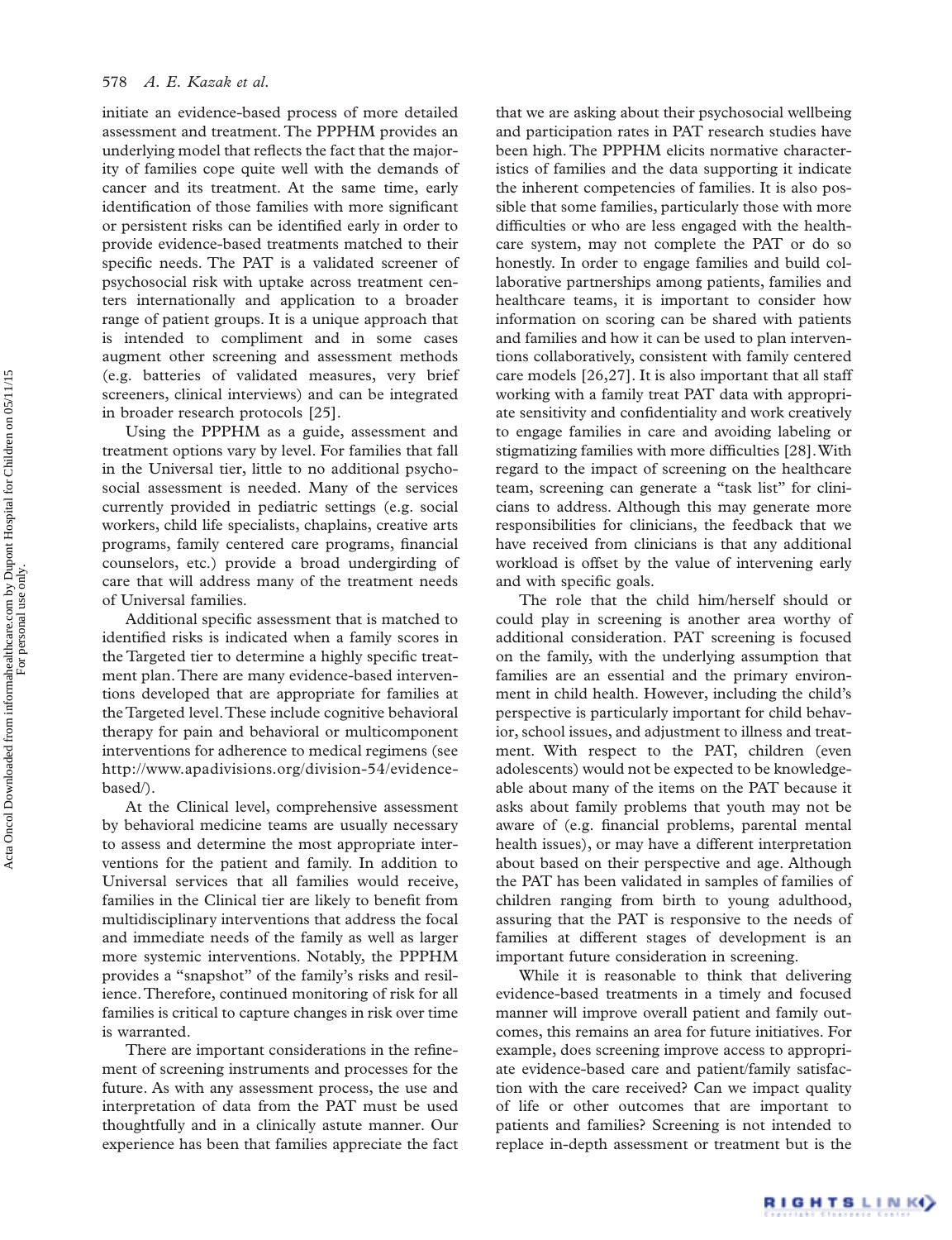initiate an evidence-based process of more detailed assessment and treatment. The PPPHM provides an underlying model that reflects the fact that the majority of families cope quite well with the demands of cancer and its treatment. At the same time, early identification of those families with more significant or persistent risks can be identified early in order to provide evidence-based treatments matched to their specific needs. The PAT is a validated screener of psychosocial risk with uptake across treatment centers internationally and application to a broader range of patient groups. It is a unique approach that is intended to compliment and in some cases augment other screening and assessment methods (e.g. batteries of validated measures, very brief screeners, clinical interviews) and can be integrated in broader research protocols [25].

Using the PPPHM as a guide, assessment and treatment options vary by level. For families that fall in the Universal tier, little to no additional psychosocial assessment is needed. Many of the services currently provided in pediatric settings (e.g. social workers, child life specialists, chaplains, creative arts programs, family centered care programs, financial counselors, etc.) provide a broad undergirding of care that will address many of the treatment needs of Universal families.

Additional specific assessment that is matched to identified risks is indicated when a family scores in the Targeted tier to determine a highly specific treatment plan. There are many evidence-based interventions developed that are appropriate for families at the Targeted level. These include cognitive behavioral therapy for pain and behavioral or multicomponent interventions for adherence to medical regimens (see http://www.apadivisions.org/division-54/evidencebased/).

At the Clinical level, comprehensive assessment by behavioral medicine teams are usually necessary to assess and determine the most appropriate interventions for the patient and family. In addition to Universal services that all families would receive, families in the Clinical tier are likely to benefit from multidisciplinary interventions that address the focal and immediate needs of the family as well as larger more systemic interventions. Notably, the PPPHM provides a "snapshot" of the family's risks and resilience. Therefore, continued monitoring of risk for all families is critical to capture changes in risk over time is warranted.

There are important considerations in the refinement of screening instruments and processes for the future. As with any assessment process, the use and interpretation of data from the PAT must be used thoughtfully and in a clinically astute manner. Our experience has been that families appreciate the fact that we are asking about their psychosocial wellbeing and participation rates in PAT research studies have been high. The PPPHM elicits normative characteristics of families and the data supporting it indicate the inherent competencies of families. It is also possible that some families, particularly those with more difficulties or who are less engaged with the healthcare system, may not complete the PAT or do so honestly. In order to engage families and build collaborative partnerships among patients, families and healthcare teams, it is important to consider how information on scoring can be shared with patients and families and how it can be used to plan interventions collaboratively, consistent with family centered care models [26,27]. It is also important that all staff working with a family treat PAT data with appropriate sensitivity and confidentiality and work creatively to engage families in care and avoiding labeling or stigmatizing families with more difficulties [28]. With regard to the impact of screening on the healthcare team, screening can generate a "task list" for clinicians to address. Although this may generate more responsibilities for clinicians, the feedback that we have received from clinicians is that any additional workload is offset by the value of intervening early and with specific goals.

The role that the child him/herself should or could play in screening is another area worthy of additional consideration. PAT screening is focused on the family, with the underlying assumption that families are an essential and the primary environment in child health. However, including the child's perspective is particularly important for child behavior, school issues, and adjustment to illness and treatment. With respect to the PAT, children (even adolescents) would not be expected to be knowledgeable about many of the items on the PAT because it asks about family problems that youth may not be aware of (e.g. financial problems, parental mental health issues), or may have a different interpretation about based on their perspective and age. Although the PAT has been validated in samples of families of children ranging from birth to young adulthood, assuring that the PAT is responsive to the needs of families at different stages of development is an important future consideration in screening.

While it is reasonable to think that delivering evidence-based treatments in a timely and focused manner will improve overall patient and family outcomes, this remains an area for future initiatives. For example, does screening improve access to appropriate evidence-based care and patient/family satisfaction with the care received? Can we impact quality of life or other outcomes that are important to patients and families? Screening is not intended to replace in-depth assessment or treatment but is the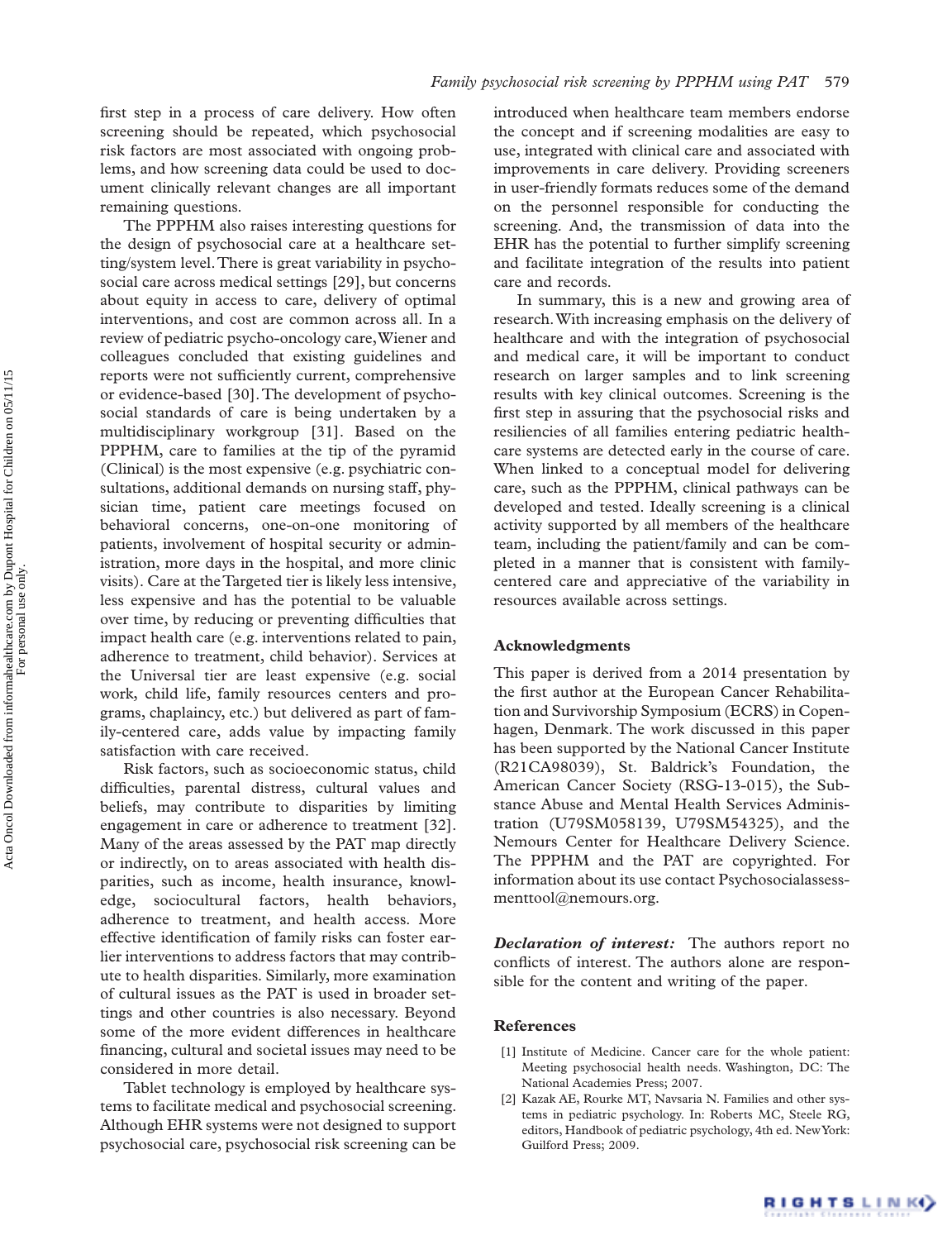first step in a process of care delivery. How often screening should be repeated, which psychosocial risk factors are most associated with ongoing problems, and how screening data could be used to document clinically relevant changes are all important remaining questions.

The PPPHM also raises interesting questions for the design of psychosocial care at a healthcare setting/system level. There is great variability in psychosocial care across medical settings [29], but concerns about equity in access to care, delivery of optimal interventions, and cost are common across all. In a review of pediatric psycho-oncology care, Wiener and colleagues concluded that existing guidelines and reports were not sufficiently current, comprehensive or evidence-based [30]. The development of psychosocial standards of care is being undertaken by a multidisciplinary workgroup [31]. Based on the PPPHM, care to families at the tip of the pyramid (Clinical) is the most expensive (e.g. psychiatric consultations, additional demands on nursing staff, physician time, patient care meetings focused on behavioral concerns, one-on-one monitoring of patients, involvement of hospital security or administration, more days in the hospital, and more clinic visits). Care at the Targeted tier is likely less intensive, less expensive and has the potential to be valuable over time, by reducing or preventing difficulties that impact health care (e.g. interventions related to pain, adherence to treatment, child behavior). Services at the Universal tier are least expensive (e.g. social work, child life, family resources centers and programs, chaplaincy, etc.) but delivered as part of family-centered care, adds value by impacting family satisfaction with care received.

Risk factors, such as socioeconomic status, child difficulties, parental distress, cultural values and beliefs, may contribute to disparities by limiting engagement in care or adherence to treatment [32]. Many of the areas assessed by the PAT map directly or indirectly, on to areas associated with health disparities, such as income, health insurance, knowledge, sociocultural factors, health behaviors, adherence to treatment, and health access. More effective identification of family risks can foster earlier interventions to address factors that may contribute to health disparities. Similarly, more examination of cultural issues as the PAT is used in broader settings and other countries is also necessary. Beyond some of the more evident differences in healthcare financing, cultural and societal issues may need to be considered in more detail.

Tablet technology is employed by healthcare systems to facilitate medical and psychosocial screening. Although EHR systems were not designed to support psychosocial care, psychosocial risk screening can be

introduced when healthcare team members endorse the concept and if screening modalities are easy to use, integrated with clinical care and associated with improvements in care delivery. Providing screeners in user-friendly formats reduces some of the demand on the personnel responsible for conducting the screening. And, the transmission of data into the EHR has the potential to further simplify screening and facilitate integration of the results into patient care and records.

In summary, this is a new and growing area of research. With increasing emphasis on the delivery of healthcare and with the integration of psychosocial and medical care, it will be important to conduct research on larger samples and to link screening results with key clinical outcomes. Screening is the first step in assuring that the psychosocial risks and resiliencies of all families entering pediatric healthcare systems are detected early in the course of care. When linked to a conceptual model for delivering care, such as the PPPHM, clinical pathways can be developed and tested. Ideally screening is a clinical activity supported by all members of the healthcare team, including the patient/family and can be completed in a manner that is consistent with familycentered care and appreciative of the variability in resources available across settings.

#### **Acknowledgments**

This paper is derived from a 2014 presentation by the first author at the European Cancer Rehabilitation and Survivorship Symposium (ECRS) in Copenhagen, Denmark. The work discussed in this paper has been supported by the National Cancer Institute (R21CA98039), St. Baldrick's Foundation, the American Cancer Society (RSG-13-015), the Substance Abuse and Mental Health Services Administration (U79SM058139, U79SM54325), and the Nemours Center for Healthcare Delivery Science. The PPPHM and the PAT are copyrighted. For information about its use contact Psychosocialassessmenttool@nemours.org.

*Declaration of interest:* The authors report no conflicts of interest. The authors alone are responsible for the content and writing of the paper.

#### **References**

- [1] Institute of Medicine. Cancer care for the whole patient: Meeting psychosocial health needs . Washington, DC: The National Academies Press; 2007 .
- [2] Kazak AE, Rourke MT, Navsaria N. Families and other systems in pediatric psychology. In: Roberts MC, Steele RG, editors, Handbook of pediatric psychology, 4th ed. New York: Guilford Press; 2009.